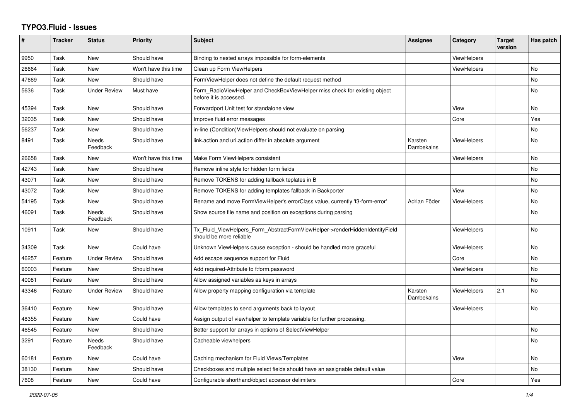## **TYPO3.Fluid - Issues**

| $\#$  | <b>Tracker</b> | <b>Status</b>       | <b>Priority</b>      | <b>Subject</b>                                                                                         | Assignee              | Category           | <b>Target</b><br>version | Has patch      |
|-------|----------------|---------------------|----------------------|--------------------------------------------------------------------------------------------------------|-----------------------|--------------------|--------------------------|----------------|
| 9950  | Task           | New                 | Should have          | Binding to nested arrays impossible for form-elements                                                  |                       | <b>ViewHelpers</b> |                          |                |
| 26664 | Task           | New                 | Won't have this time | Clean up Form ViewHelpers                                                                              |                       | ViewHelpers        |                          | <b>No</b>      |
| 47669 | Task           | New                 | Should have          | FormViewHelper does not define the default request method                                              |                       |                    |                          | No             |
| 5636  | Task           | <b>Under Review</b> | Must have            | Form_RadioViewHelper and CheckBoxViewHelper miss check for existing object<br>before it is accessed.   |                       |                    |                          | <b>No</b>      |
| 45394 | Task           | New                 | Should have          | Forwardport Unit test for standalone view                                                              |                       | View               |                          | No             |
| 32035 | Task           | <b>New</b>          | Should have          | Improve fluid error messages                                                                           |                       | Core               |                          | Yes            |
| 56237 | Task           | New                 | Should have          | in-line (Condition) View Helpers should not evaluate on parsing                                        |                       |                    |                          | No             |
| 8491  | Task           | Needs<br>Feedback   | Should have          | link.action and uri.action differ in absolute argument                                                 | Karsten<br>Dambekalns | <b>ViewHelpers</b> |                          | No             |
| 26658 | Task           | New                 | Won't have this time | Make Form ViewHelpers consistent                                                                       |                       | ViewHelpers        |                          | <b>No</b>      |
| 42743 | Task           | <b>New</b>          | Should have          | Remove inline style for hidden form fields                                                             |                       |                    |                          | <b>No</b>      |
| 43071 | Task           | <b>New</b>          | Should have          | Remove TOKENS for adding fallback teplates in B                                                        |                       |                    |                          | <b>No</b>      |
| 43072 | Task           | New                 | Should have          | Remove TOKENS for adding templates fallback in Backporter                                              |                       | View               |                          | N <sub>o</sub> |
| 54195 | Task           | <b>New</b>          | Should have          | Rename and move FormViewHelper's errorClass value, currently 'f3-form-error'                           | Adrian Föder          | <b>ViewHelpers</b> |                          | No             |
| 46091 | Task           | Needs<br>Feedback   | Should have          | Show source file name and position on exceptions during parsing                                        |                       |                    |                          | No             |
| 10911 | Task           | New                 | Should have          | Tx_Fluid_ViewHelpers_Form_AbstractFormViewHelper->renderHiddenIdentityField<br>should be more reliable |                       | <b>ViewHelpers</b> |                          | <b>No</b>      |
| 34309 | Task           | New                 | Could have           | Unknown ViewHelpers cause exception - should be handled more graceful                                  |                       | <b>ViewHelpers</b> |                          | <b>No</b>      |
| 46257 | Feature        | <b>Under Review</b> | Should have          | Add escape sequence support for Fluid                                                                  |                       | Core               |                          | No             |
| 60003 | Feature        | New                 | Should have          | Add required-Attribute to f:form.password                                                              |                       | ViewHelpers        |                          | <b>No</b>      |
| 40081 | Feature        | <b>New</b>          | Should have          | Allow assigned variables as keys in arrays                                                             |                       |                    |                          | <b>No</b>      |
| 43346 | Feature        | <b>Under Review</b> | Should have          | Allow property mapping configuration via template                                                      | Karsten<br>Dambekalns | <b>ViewHelpers</b> | 2.1                      | No             |
| 36410 | Feature        | <b>New</b>          | Should have          | Allow templates to send arguments back to layout                                                       |                       | ViewHelpers        |                          | <b>No</b>      |
| 48355 | Feature        | <b>New</b>          | Could have           | Assign output of viewhelper to template variable for further processing.                               |                       |                    |                          |                |
| 46545 | Feature        | New                 | Should have          | Better support for arrays in options of SelectViewHelper                                               |                       |                    |                          | <b>No</b>      |
| 3291  | Feature        | Needs<br>Feedback   | Should have          | Cacheable viewhelpers                                                                                  |                       |                    |                          | No             |
| 60181 | Feature        | New                 | Could have           | Caching mechanism for Fluid Views/Templates                                                            |                       | View               |                          | No             |
| 38130 | Feature        | New                 | Should have          | Checkboxes and multiple select fields should have an assignable default value                          |                       |                    |                          | <b>No</b>      |
| 7608  | Feature        | New                 | Could have           | Configurable shorthand/object accessor delimiters                                                      |                       | Core               |                          | Yes            |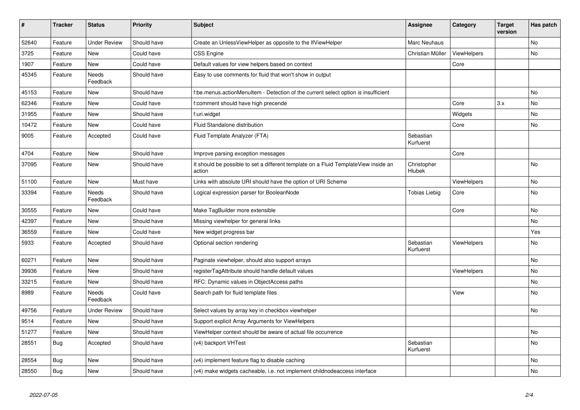| $\vert$ # | <b>Tracker</b> | <b>Status</b>       | <b>Priority</b> | <b>Subject</b>                                                                                | <b>Assignee</b>        | Category           | <b>Target</b><br>version | Has patch |
|-----------|----------------|---------------------|-----------------|-----------------------------------------------------------------------------------------------|------------------------|--------------------|--------------------------|-----------|
| 52640     | Feature        | <b>Under Review</b> | Should have     | Create an UnlessViewHelper as opposite to the IfViewHelper                                    | Marc Neuhaus           |                    |                          | <b>No</b> |
| 3725      | Feature        | New                 | Could have      | <b>CSS Engine</b>                                                                             | Christian Müller       | ViewHelpers        |                          | <b>No</b> |
| 1907      | Feature        | New                 | Could have      | Default values for view helpers based on context                                              |                        | Core               |                          |           |
| 45345     | Feature        | Needs<br>Feedback   | Should have     | Easy to use comments for fluid that won't show in output                                      |                        |                    |                          |           |
| 45153     | Feature        | New                 | Should have     | f:be.menus.actionMenuItem - Detection of the current select option is insufficient            |                        |                    |                          | <b>No</b> |
| 62346     | Feature        | New                 | Could have      | f:comment should have high precende                                                           |                        | Core               | 3.x                      | No        |
| 31955     | Feature        | New                 | Should have     | f:uri.widget                                                                                  |                        | Widgets            |                          | <b>No</b> |
| 10472     | Feature        | New                 | Could have      | Fluid Standalone distribution                                                                 |                        | Core               |                          | No        |
| 9005      | Feature        | Accepted            | Could have      | Fluid Template Analyzer (FTA)                                                                 | Sebastian<br>Kurfuerst |                    |                          |           |
| 4704      | Feature        | New                 | Should have     | Improve parsing exception messages                                                            |                        | Core               |                          |           |
| 37095     | Feature        | New                 | Should have     | It should be possible to set a different template on a Fluid TemplateView inside an<br>action | Christopher<br>Hlubek  |                    |                          | <b>No</b> |
| 51100     | Feature        | New                 | Must have       | Links with absolute URI should have the option of URI Scheme                                  |                        | <b>ViewHelpers</b> |                          | <b>No</b> |
| 33394     | Feature        | Needs<br>Feedback   | Should have     | Logical expression parser for BooleanNode                                                     | <b>Tobias Liebig</b>   | Core               |                          | <b>No</b> |
| 30555     | Feature        | New                 | Could have      | Make TagBuilder more extensible                                                               |                        | Core               |                          | <b>No</b> |
| 42397     | Feature        | New                 | Should have     | Missing viewhelper for general links                                                          |                        |                    |                          | No        |
| 36559     | Feature        | New                 | Could have      | New widget progress bar                                                                       |                        |                    |                          | Yes       |
| 5933      | Feature        | Accepted            | Should have     | Optional section rendering                                                                    | Sebastian<br>Kurfuerst | <b>ViewHelpers</b> |                          | <b>No</b> |
| 60271     | Feature        | <b>New</b>          | Should have     | Paginate viewhelper, should also support arrays                                               |                        |                    |                          | <b>No</b> |
| 39936     | Feature        | <b>New</b>          | Should have     | registerTagAttribute should handle default values                                             |                        | <b>ViewHelpers</b> |                          | No        |
| 33215     | Feature        | New                 | Should have     | RFC: Dynamic values in ObjectAccess paths                                                     |                        |                    |                          | No        |
| 8989      | Feature        | Needs<br>Feedback   | Could have      | Search path for fluid template files                                                          |                        | View               |                          | <b>No</b> |
| 49756     | Feature        | <b>Under Review</b> | Should have     | Select values by array key in checkbox viewhelper                                             |                        |                    |                          | <b>No</b> |
| 9514      | Feature        | <b>New</b>          | Should have     | Support explicit Array Arguments for ViewHelpers                                              |                        |                    |                          |           |
| 51277     | Feature        | <b>New</b>          | Should have     | ViewHelper context should be aware of actual file occurrence                                  |                        |                    |                          | No        |
| 28551     | Bug            | Accepted            | Should have     | (v4) backport VHTest                                                                          | Sebastian<br>Kurfuerst |                    |                          | <b>No</b> |
| 28554     | <b>Bug</b>     | New                 | Should have     | (v4) implement feature flag to disable caching                                                |                        |                    |                          | <b>No</b> |
| 28550     | <b>Bug</b>     | <b>New</b>          | Should have     | (v4) make widgets cacheable, i.e. not implement childnodeaccess interface                     |                        |                    |                          | <b>No</b> |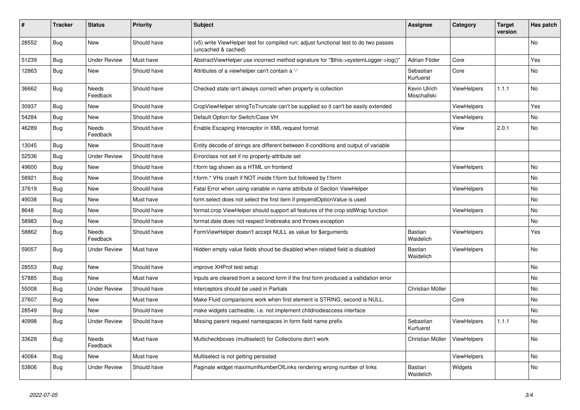| #     | <b>Tracker</b> | <b>Status</b>            | <b>Priority</b> | <b>Subject</b>                                                                                              | Assignee                    | Category           | <b>Target</b><br>version | Has patch |
|-------|----------------|--------------------------|-----------------|-------------------------------------------------------------------------------------------------------------|-----------------------------|--------------------|--------------------------|-----------|
| 28552 | Bug            | <b>New</b>               | Should have     | (v5) write ViewHelper test for compiled run; adjust functional test to do two passes<br>(uncached & cached) |                             |                    |                          | <b>No</b> |
| 51239 | <b>Bug</b>     | <b>Under Review</b>      | Must have       | AbstractViewHelper use incorrect method signature for "\$this->systemLogger->log()"                         | Adrian Föder                | Core               |                          | Yes       |
| 12863 | <b>Bug</b>     | <b>New</b>               | Should have     | Attributes of a viewhelper can't contain a '-'                                                              | Sebastian<br>Kurfuerst      | Core               |                          | No        |
| 36662 | Bug            | Needs<br>Feedback        | Should have     | Checked state isn't always correct when property is collection                                              | Kevin Ulrich<br>Moschallski | <b>ViewHelpers</b> | 1.1.1                    | No        |
| 30937 | Bug            | New                      | Should have     | CropViewHelper stringToTruncate can't be supplied so it can't be easily extended                            |                             | <b>ViewHelpers</b> |                          | Yes       |
| 54284 | Bug            | New                      | Should have     | Default Option for Switch/Case VH                                                                           |                             | ViewHelpers        |                          | No        |
| 46289 | Bug            | <b>Needs</b><br>Feedback | Should have     | Enable Escaping Interceptor in XML request format                                                           |                             | View               | 2.0.1                    | <b>No</b> |
| 13045 | <b>Bug</b>     | <b>New</b>               | Should have     | Entity decode of strings are different between if-conditions and output of variable                         |                             |                    |                          |           |
| 52536 | <b>Bug</b>     | <b>Under Review</b>      | Should have     | Errorclass not set if no property-attribute set                                                             |                             |                    |                          |           |
| 49600 | <b>Bug</b>     | New                      | Should have     | f:form tag shown as a HTML on frontend                                                                      |                             | <b>ViewHelpers</b> |                          | No        |
| 58921 | Bug            | New                      | Should have     | f:form.* VHs crash if NOT inside f:form but followed by f:form                                              |                             |                    |                          | No        |
| 37619 | <b>Bug</b>     | New                      | Should have     | Fatal Error when using variable in name attribute of Section ViewHelper                                     |                             | ViewHelpers        |                          | No        |
| 49038 | Bug            | New                      | Must have       | form.select does not select the first item if prependOptionValue is used                                    |                             |                    |                          | No        |
| 8648  | Bug            | New                      | Should have     | format.crop ViewHelper should support all features of the crop stdWrap function                             |                             | ViewHelpers        |                          | No        |
| 58983 | Bug            | <b>New</b>               | Should have     | format.date does not respect linebreaks and throws exception                                                |                             |                    |                          | No.       |
| 58862 | Bug            | Needs<br>Feedback        | Should have     | FormViewHelper doesn't accept NULL as value for \$arguments                                                 | <b>Bastian</b><br>Waidelich | ViewHelpers        |                          | Yes       |
| 59057 | Bug            | <b>Under Review</b>      | Must have       | Hidden empty value fields shoud be disabled when related field is disabled                                  | <b>Bastian</b><br>Waidelich | <b>ViewHelpers</b> |                          | <b>No</b> |
| 28553 | Bug            | <b>New</b>               | Should have     | improve XHProf test setup                                                                                   |                             |                    |                          | No        |
| 57885 | Bug            | <b>New</b>               | Must have       | Inputs are cleared from a second form if the first form produced a vallidation error                        |                             |                    |                          | <b>No</b> |
| 55008 | Bug            | <b>Under Review</b>      | Should have     | Interceptors should be used in Partials                                                                     | Christian Müller            |                    |                          | No        |
| 27607 | <b>Bug</b>     | <b>New</b>               | Must have       | Make Fluid comparisons work when first element is STRING, second is NULL.                                   |                             | Core               |                          | No        |
| 28549 | Bug            | <b>New</b>               | Should have     | make widgets cacheable, i.e. not implement childnodeaccess interface                                        |                             |                    |                          | <b>No</b> |
| 40998 | Bug            | <b>Under Review</b>      | Should have     | Missing parent request namespaces in form field name prefix                                                 | Sebastian<br>Kurfuerst      | <b>ViewHelpers</b> | 1.1.1                    | No        |
| 33628 | Bug            | Needs<br>Feedback        | Must have       | Multicheckboxes (multiselect) for Collections don't work                                                    | Christian Müller            | ViewHelpers        |                          | No        |
| 40064 | Bug            | New                      | Must have       | Multiselect is not getting persisted                                                                        |                             | ViewHelpers        |                          | No        |
| 53806 | Bug            | Under Review             | Should have     | Paginate widget maximumNumberOfLinks rendering wrong number of links                                        | Bastian<br>Waidelich        | Widgets            |                          | No        |